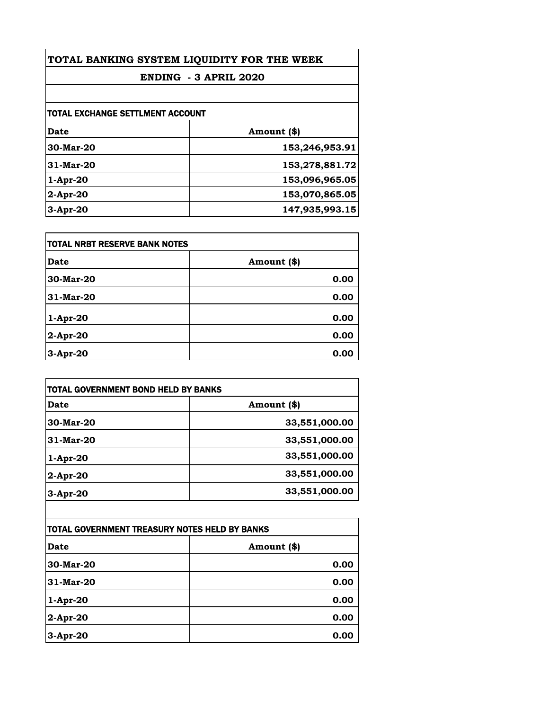| TOTAL BANKING SYSTEM LIQUIDITY FOR THE WEEK |                |
|---------------------------------------------|----------------|
| ENDING - 3 APRIL 2020                       |                |
|                                             |                |
| Date                                        | Amount (\$)    |
| 30-Mar-20                                   | 153,246,953.91 |
| 31-Mar-20                                   | 153,278,881.72 |
| $1-Apr-20$                                  | 153,096,965.05 |
| $2$ -Apr-20                                 | 153,070,865.05 |
| $3-Apr-20$                                  | 147,935,993.15 |

| TOTAL NRBT RESERVE BANK NOTES |             |
|-------------------------------|-------------|
| <b>Date</b>                   | Amount (\$) |
| 30-Mar-20                     | 0.00        |
| 31-Mar-20                     | 0.00        |
| 1-Apr-20                      | 0.00        |
| 2-Apr-20                      | 0.00        |
| 3-Apr-20                      | 0.00        |

| TOTAL GOVERNMENT BOND HELD BY BANKS |               |
|-------------------------------------|---------------|
| Date                                | Amount (\$)   |
| 30-Mar-20                           | 33,551,000.00 |
| 31-Mar-20                           | 33,551,000.00 |
| $1-Apr-20$                          | 33,551,000.00 |
| 2-Apr-20                            | 33,551,000.00 |
| $3$ -Apr-20                         | 33,551,000.00 |

| TOTAL GOVERNMENT TREASURY NOTES HELD BY BANKS |             |
|-----------------------------------------------|-------------|
| Date                                          | Amount (\$) |
| 30-Mar-20                                     | 0.00        |
| 31-Mar-20                                     | 0.00        |
| 1-Apr-20                                      | 0.00        |
| 2-Apr-20                                      | 0.00        |
| 3-Apr-20                                      | 0.00        |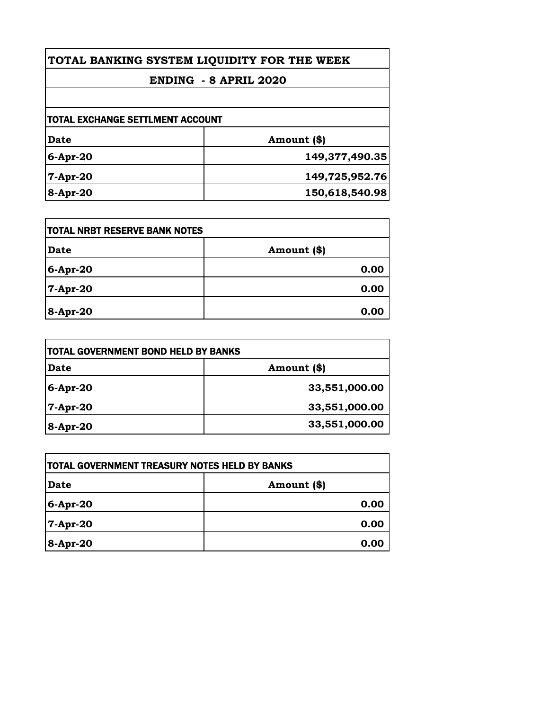| TOTAL BANKING SYSTEM LIQUIDITY FOR THE WEEK<br>ENDING - 8 APRIL 2020 |                |
|----------------------------------------------------------------------|----------------|
|                                                                      |                |
| <b>TOTAL EXCHANGE SETTLMENT ACCOUNT</b>                              |                |
| Date                                                                 | Amount (\$)    |
| $6-Apr-20$                                                           | 149,377,490.35 |
| $7-Apr-20$                                                           | 149,725,952.76 |
| 8-Apr-20                                                             | 150,618,540.98 |

| <b>ITOTAL NRBT RESERVE BANK NOTES</b> |               |
|---------------------------------------|---------------|
| Date                                  | Amount $(\$)$ |
| $6$ -Apr-20                           | 0.00          |
| 7-Apr-20                              | 0.00          |
| 8-Apr-20                              | 0.00          |

| TOTAL GOVERNMENT BOND HELD BY BANKS |               |
|-------------------------------------|---------------|
| Date                                | Amount (\$)   |
| 6-Apr-20                            | 33,551,000.00 |
| 7-Apr-20                            | 33,551,000.00 |
| $8 -$ Apr-20                        | 33,551,000.00 |

| TOTAL GOVERNMENT TREASURY NOTES HELD BY BANKS |             |
|-----------------------------------------------|-------------|
| Date                                          | Amount (\$) |
| $6-Apr-20$                                    | 0.00        |
| 7-Apr-20                                      | 0.00        |
| 8-Apr-20                                      | 0.00        |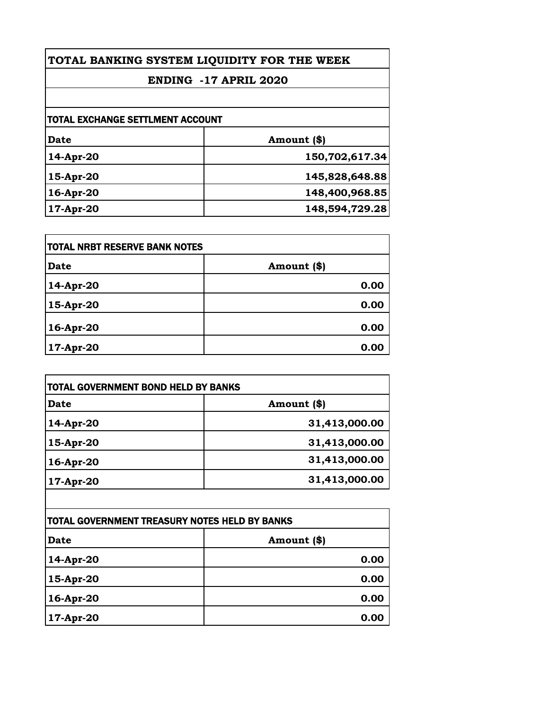| TOTAL BANKING SYSTEM LIQUIDITY FOR THE WEEK |                |
|---------------------------------------------|----------------|
| <b>ENDING -17 APRIL 2020</b>                |                |
|                                             |                |
| <b>TOTAL EXCHANGE SETTLMENT ACCOUNT</b>     |                |
| Date                                        | Amount (\$)    |
| 14-Apr-20                                   | 150,702,617.34 |
| $15-Apr-20$                                 | 145,828,648.88 |
| 16-Apr-20                                   | 148,400,968.85 |
| 17-Apr-20                                   | 148,594,729.28 |

| TOTAL NRBT RESERVE BANK NOTES |             |
|-------------------------------|-------------|
| <b>Date</b>                   | Amount (\$) |
| 14-Apr-20                     | 0.00        |
| 15-Apr-20                     | 0.00        |
| 16-Apr-20                     | 0.00        |
| 17-Apr-20                     | 0.00        |

| TOTAL GOVERNMENT BOND HELD BY BANKS |               |
|-------------------------------------|---------------|
| Date                                | Amount (\$)   |
| 14-Apr-20                           | 31,413,000.00 |
| 15-Apr-20                           | 31,413,000.00 |
| 16-Apr-20                           | 31,413,000.00 |
| $17$ -Apr-20                        | 31,413,000.00 |

| TOTAL GOVERNMENT TREASURY NOTES HELD BY BANKS |             |
|-----------------------------------------------|-------------|
| <b>Date</b>                                   | Amount (\$) |
| 14-Apr-20                                     | 0.00        |
| 15-Apr-20                                     | 0.00        |
| 16-Apr-20                                     | 0.00        |
| 17-Apr-20                                     | 0.00        |